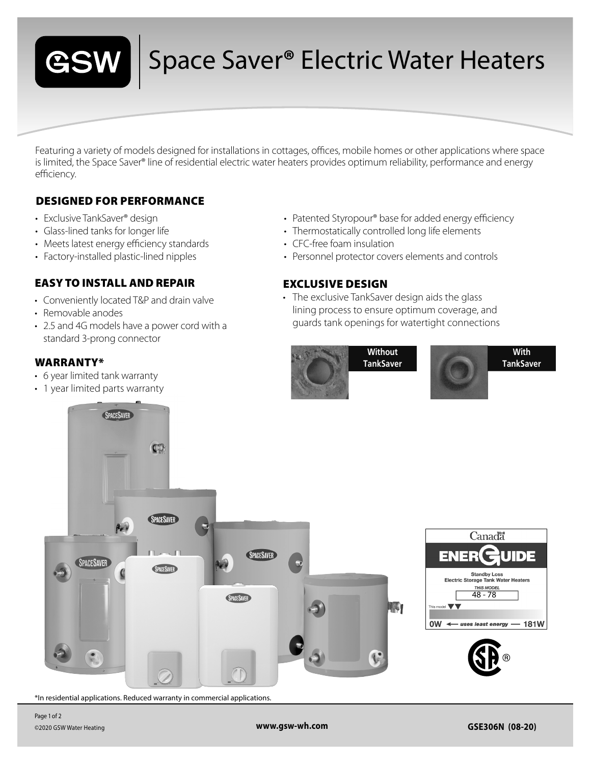

## Space Saver**®** Electric Water Heaters

Featuring a variety of models designed for installations in cottages, offices, mobile homes or other applications where space is limited, the Space Saver® line of residential electric water heaters provides optimum reliability, performance and energy efficiency.

### DESIGNED FOR PERFORMANCE

- Exclusive TankSaver® design
- Glass-lined tanks for longer life
- Meets latest energy efficiency standards
- Factory-installed plastic-lined nipples

#### EASY TO INSTALL AND REPAIR

- Conveniently located T&P and drain valve
- Removable anodes
- 2.5 and 4G models have a power cord with a standard 3-prong connector

#### WARRANTY\*

- 6 year limited tank warranty
- 1 year limited parts warranty
- Patented Styropour® base for added energy efficiency
- Thermostatically controlled long life elements
- CFC-free foam insulation
- Personnel protector covers elements and controls

#### EXCLUSIVE DESIGN

• The exclusive TankSaver design aids the glass lining process to ensure optimum coverage, and guards tank openings for watertight connections



**With TankSaver**



\*In residential applications. Reduced warranty in commercial applications.